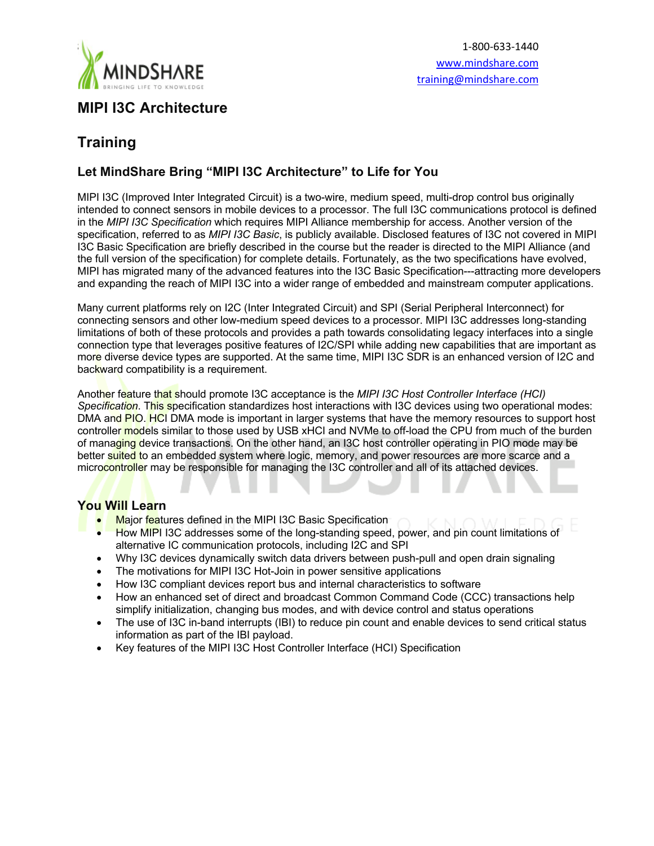

## **MIPI I3C Architecture**

# **Training**

## **Let MindShare Bring "MIPI I3C Architecture" to Life for You**

MIPI I3C (Improved Inter Integrated Circuit) is a two-wire, medium speed, multi-drop control bus originally intended to connect sensors in mobile devices to a processor. The full I3C communications protocol is defined in the *MIPI I3C Specification* which requires MIPI Alliance membership for access. Another version of the specification, referred to as *MIPI I3C Basic*, is publicly available. Disclosed features of I3C not covered in MIPI I3C Basic Specification are briefly described in the course but the reader is directed to the MIPI Alliance (and the full version of the specification) for complete details. Fortunately, as the two specifications have evolved, MIPI has migrated many of the advanced features into the I3C Basic Specification---attracting more developers and expanding the reach of MIPI I3C into a wider range of embedded and mainstream computer applications.

Many current platforms rely on I2C (Inter Integrated Circuit) and SPI (Serial Peripheral Interconnect) for connecting sensors and other low-medium speed devices to a processor. MIPI I3C addresses long-standing limitations of both of these protocols and provides a path towards consolidating legacy interfaces into a single connection type that leverages positive features of I2C/SPI while adding new capabilities that are important as more diverse device types are supported. At the same time, MIPI I3C SDR is an enhanced version of I2C and backward compatibility is a requirement.

Another feature that should promote I3C acceptance is the *MIPI I3C Host Controller Interface (HCI) Specification*. This specification standardizes host interactions with I3C devices using two operational modes: DMA and PIO. HCI DMA mode is important in larger systems that have the memory resources to support host controller models similar to those used by USB xHCI and NVMe to off-load the CPU from much of the burden of managing device transactions. On the other hand, an I3C host controller operating in PIO mode may be better suited to an embedded system where logic, memory, and power resources are more scarce and a microcontroller may be responsible for managing the I3C controller and all of its attached devices.

### **You Will Learn**

- Major features defined in the MIPI I3C Basic Specification
- How MIPI I3C addresses some of the long-standing speed, power, and pin count limitations of alternative IC communication protocols, including I2C and SPI
- Why I3C devices dynamically switch data drivers between push-pull and open drain signaling
- The motivations for MIPI I3C Hot-Join in power sensitive applications
- How I3C compliant devices report bus and internal characteristics to software
- How an enhanced set of direct and broadcast Common Command Code (CCC) transactions help simplify initialization, changing bus modes, and with device control and status operations
- The use of I3C in-band interrupts (IBI) to reduce pin count and enable devices to send critical status information as part of the IBI payload.
- Key features of the MIPI I3C Host Controller Interface (HCI) Specification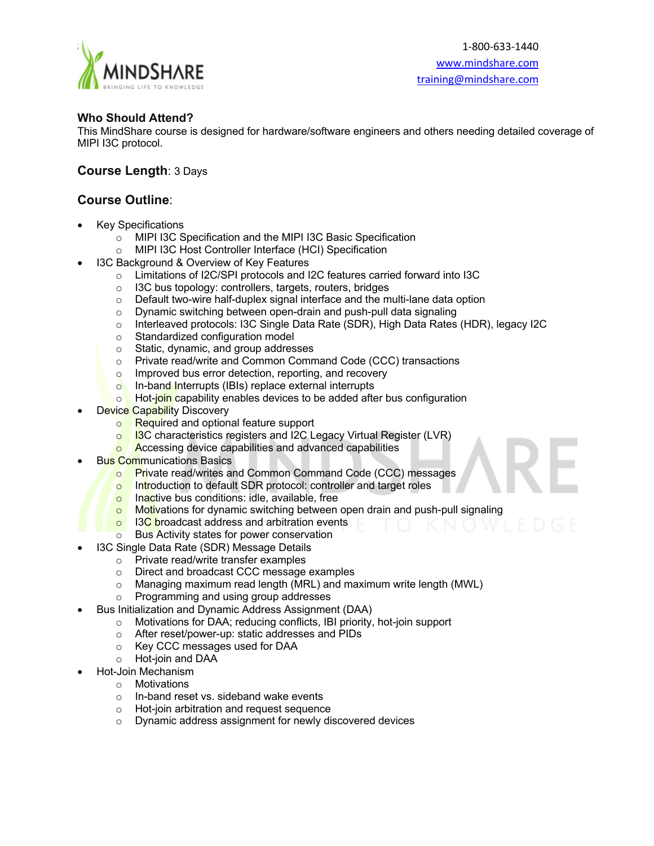

#### **Who Should Attend?**

This MindShare course is designed for hardware/software engineers and others needing detailed coverage of MIPI I3C protocol.

### **Course Length**: 3 Days

## **Course Outline**:

- Key Specifications
	- o MIPI I3C Specification and the MIPI I3C Basic Specification
	- o MIPI I3C Host Controller Interface (HCI) Specification
- 13C Background & Overview of Key Features
	- o Limitations of I2C/SPI protocols and I2C features carried forward into I3C
	- o I3C bus topology: controllers, targets, routers, bridges
	- o Default two-wire half-duplex signal interface and the multi-lane data option
	- o Dynamic switching between open-drain and push-pull data signaling
	- o Interleaved protocols: I3C Single Data Rate (SDR), High Data Rates (HDR), legacy I2C
	- o Standardized configuration model
	- o Static, dynamic, and group addresses
	- o Private read/write and Common Command Code (CCC) transactions
	- o Improved bus error detection, reporting, and recovery
	- o In-band Interrupts (IBIs) replace external interrupts
	- o **Hot-join capability enables devices to be added after bus configuration**
- Device Capability Discovery
	- o Required and optional feature support
	- o **13C** characteristics registers and I2C Legacy Virtual Register (LVR)
	- o **Accessing device capabilities and advanced capabilities**
- Bus Communications Basics
	- o Private read/writes and Common Command Code (CCC) messages
	- o Introduction to default SDR protocol: controller and target roles
	- o Inactive bus conditions: idle, available, free
	- o Motivations for dynamic switching between open drain and push-pull signaling
	- o I3C broadcast address and arbitration events
	- Bus Activity states for power conservation
- I3C Single Data Rate (SDR) Message Details
	- o Private read/write transfer examples
		- o Direct and broadcast CCC message examples
		- o Managing maximum read length (MRL) and maximum write length (MWL)
		- o Programming and using group addresses
- Bus Initialization and Dynamic Address Assignment (DAA)
	- o Motivations for DAA; reducing conflicts, IBI priority, hot-join support
	- o After reset/power-up: static addresses and PIDs
	- o Key CCC messages used for DAA
	- o Hot-join and DAA
	- Hot-Join Mechanism
		- o Motivations
		- o In-band reset vs. sideband wake events
		- o Hot-join arbitration and request sequence
		- o Dynamic address assignment for newly discovered devices